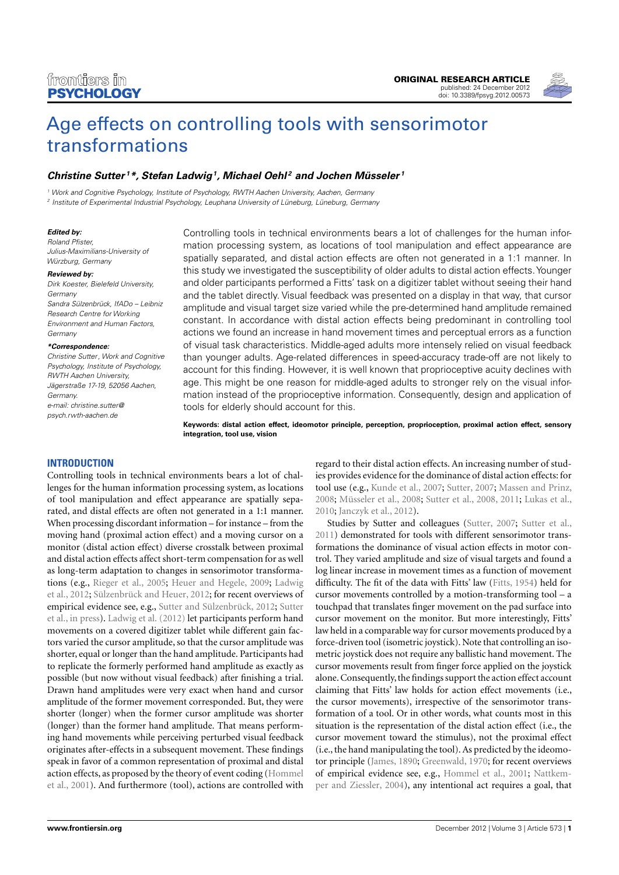

# [Age effects on controlling tools with sensorimotor](http://www.frontiersin.org/Cognition/10.3389/fpsyg.2012.00573/abstract) [transformations](http://www.frontiersin.org/Cognition/10.3389/fpsyg.2012.00573/abstract)

## **[Christine Sutter](http://www.frontiersin.org/Community/WhosWhoActivity.aspx?sname=ChristineSutter&UID=48140) <sup>1</sup>\*, [Stefan Ladwig](http://www.frontiersin.org/Community/WhosWhoActivity.aspx?sname=StefanLadwig&UID=54611)<sup>1</sup> , [Michael Oehl](http://www.frontiersin.org/people/MichaelOehl/54609) <sup>2</sup> and [Jochen Müsseler](http://www.frontiersin.org/Community/WhosWhoActivity.aspx?sname=JochenMusseler&UID=17306) <sup>1</sup>**

<sup>1</sup> Work and Cognitive Psychology, Institute of Psychology, RWTH Aachen University, Aachen, Germany

2 Institute of Experimental Industrial Psychology, Leuphana University of Lüneburg, Lüneburg, Germany

#### **Edited by:**

Roland Pfister, Julius-Maximilians-University of Würzburg, Germany

#### **Reviewed by:**

Dirk Koester, Bielefeld University, Germany Sandra Sülzenbrück, IfADo – Leibniz Research Centre for Working Environment and Human Factors, Germany

#### **\*Correspondence:**

Christine Sutter, Work and Cognitive Psychology, Institute of Psychology, RWTH Aachen University, Jägerstraße 17-19, 52056 Aachen, Germany. e-mail: [christine.sutter@](mailto:christine.sutter@psych.rwth-aachen.de) [psych.rwth-aachen.de](mailto:christine.sutter@psych.rwth-aachen.de)

Controlling tools in technical environments bears a lot of challenges for the human information processing system, as locations of tool manipulation and effect appearance are spatially separated, and distal action effects are often not generated in a 1:1 manner. In this study we investigated the susceptibility of older adults to distal action effects.Younger and older participants performed a Fitts' task on a digitizer tablet without seeing their hand and the tablet directly. Visual feedback was presented on a display in that way, that cursor amplitude and visual target size varied while the pre-determined hand amplitude remained constant. In accordance with distal action effects being predominant in controlling tool actions we found an increase in hand movement times and perceptual errors as a function of visual task characteristics. Middle-aged adults more intensely relied on visual feedback than younger adults. Age-related differences in speed-accuracy trade-off are not likely to account for this finding. However, it is well known that proprioceptive acuity declines with age. This might be one reason for middle-aged adults to stronger rely on the visual information instead of the proprioceptive information. Consequently, design and application of tools for elderly should account for this.

**Keywords: distal action effect, ideomotor principle, perception, proprioception, proximal action effect, sensory integration, tool use, vision**

## **INTRODUCTION**

Controlling tools in technical environments bears a lot of challenges for the human information processing system, as locations of tool manipulation and effect appearance are spatially separated, and distal effects are often not generated in a 1:1 manner. When processing discordant information – for instance – from the moving hand (proximal action effect) and a moving cursor on a monitor (distal action effect) diverse crosstalk between proximal and distal action effects affect short-term compensation for as well as long-term adaptation to changes in sensorimotor transformations (e.g., [Rieger et al., 2005;](#page-7-0) [Heuer and Hegele, 2009;](#page-6-0) [Ladwig](#page-7-1) [et al., 2012;](#page-7-1) [Sülzenbrück and Heuer, 2012;](#page-7-2) for recent overviews of empirical evidence see, e.g., [Sutter and Sülzenbrück, 2012;](#page-7-3) [Sutter](#page-7-4) [et al., in press\)](#page-7-4). [Ladwig et al.](#page-7-1) [\(2012\)](#page-7-1) let participants perform hand movements on a covered digitizer tablet while different gain factors varied the cursor amplitude, so that the cursor amplitude was shorter, equal or longer than the hand amplitude. Participants had to replicate the formerly performed hand amplitude as exactly as possible (but now without visual feedback) after finishing a trial. Drawn hand amplitudes were very exact when hand and cursor amplitude of the former movement corresponded. But, they were shorter (longer) when the former cursor amplitude was shorter (longer) than the former hand amplitude. That means performing hand movements while perceiving perturbed visual feedback originates after-effects in a subsequent movement. These findings speak in favor of a common representation of proximal and distal action effects, as proposed by the theory of event coding [\(Hommel](#page-7-5) [et al., 2001\)](#page-7-5). And furthermore (tool), actions are controlled with

regard to their distal action effects. An increasing number of studies provides evidence for the dominance of distal action effects: for tool use (e.g., [Kunde et al., 2007;](#page-7-6) [Sutter, 2007;](#page-7-7) [Massen and Prinz,](#page-7-8) [2008;](#page-7-8) [Müsseler et al., 2008;](#page-7-9) [Sutter et al., 2008,](#page-7-10) [2011;](#page-7-11) [Lukas et al.,](#page-7-12) [2010;](#page-7-12) [Janczyk et al., 2012\)](#page-7-13).

Studies by Sutter and colleagues [\(Sutter, 2007;](#page-7-7) [Sutter et al.,](#page-7-11) [2011\)](#page-7-11) demonstrated for tools with different sensorimotor transformations the dominance of visual action effects in motor control. They varied amplitude and size of visual targets and found a log linear increase in movement times as a function of movement difficulty. The fit of the data with Fitts' law [\(Fitts, 1954\)](#page-6-1) held for cursor movements controlled by a motion-transforming tool – a touchpad that translates finger movement on the pad surface into cursor movement on the monitor. But more interestingly, Fitts' law held in a comparable way for cursor movements produced by a force-driven tool (isometric joystick). Note that controlling an isometric joystick does not require any ballistic hand movement. The cursor movements result from finger force applied on the joystick alone. Consequently, the findings support the action effect account claiming that Fitts' law holds for action effect movements (i.e., the cursor movements), irrespective of the sensorimotor transformation of a tool. Or in other words, what counts most in this situation is the representation of the distal action effect (i.e., the cursor movement toward the stimulus), not the proximal effect (i.e., the hand manipulating the tool). As predicted by the ideomotor principle [\(James, 1890;](#page-7-14) [Greenwald, 1970;](#page-6-2) for recent overviews of empirical evidence see, e.g., [Hommel et al., 2001;](#page-7-5) [Nattkem](#page-7-15)[per and Ziessler, 2004\)](#page-7-15), any intentional act requires a goal, that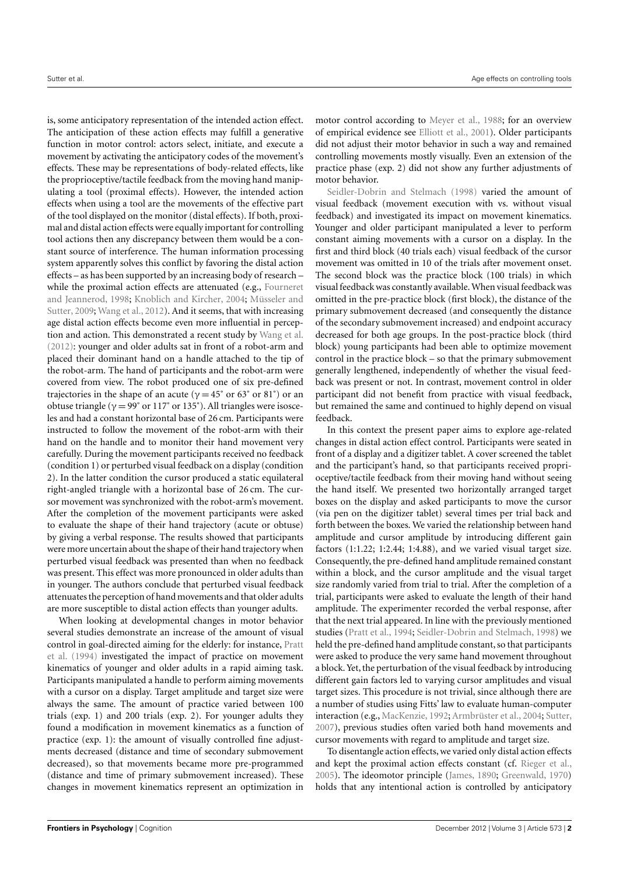is, some anticipatory representation of the intended action effect. The anticipation of these action effects may fulfill a generative function in motor control: actors select, initiate, and execute a movement by activating the anticipatory codes of the movement's effects. These may be representations of body-related effects, like the proprioceptive/tactile feedback from the moving hand manipulating a tool (proximal effects). However, the intended action effects when using a tool are the movements of the effective part of the tool displayed on the monitor (distal effects). If both, proximal and distal action effects were equally important for controlling tool actions then any discrepancy between them would be a constant source of interference. The human information processing system apparently solves this conflict by favoring the distal action effects – as has been supported by an increasing body of research – while the proximal action effects are attenuated (e.g., [Fourneret](#page-6-3) [and Jeannerod,](#page-6-3) [1998;](#page-6-3) [Knoblich and Kircher,](#page-7-16) [2004;](#page-7-16) [Müsseler and](#page-7-17) [Sutter,](#page-7-17) [2009;](#page-7-17) [Wang et al.,](#page-7-18) [2012\)](#page-7-18). And it seems, that with increasing age distal action effects become even more influential in perception and action. This demonstrated a recent study by [Wang et al.](#page-7-18) [\(2012\)](#page-7-18): younger and older adults sat in front of a robot-arm and placed their dominant hand on a handle attached to the tip of the robot-arm. The hand of participants and the robot-arm were covered from view. The robot produced one of six pre-defined trajectories in the shape of an acute ( $\gamma = 45^{\circ}$  or  $63^{\circ}$  or  $81^{\circ}$ ) or an obtuse triangle ( $\gamma = 99^{\circ}$  or 117° or 135°). All triangles were isosceles and had a constant horizontal base of 26 cm. Participants were instructed to follow the movement of the robot-arm with their hand on the handle and to monitor their hand movement very carefully. During the movement participants received no feedback (condition 1) or perturbed visual feedback on a display (condition 2). In the latter condition the cursor produced a static equilateral right-angled triangle with a horizontal base of 26 cm. The cursor movement was synchronized with the robot-arm's movement. After the completion of the movement participants were asked to evaluate the shape of their hand trajectory (acute or obtuse) by giving a verbal response. The results showed that participants were more uncertain about the shape of their hand trajectory when perturbed visual feedback was presented than when no feedback was present. This effect was more pronounced in older adults than in younger. The authors conclude that perturbed visual feedback attenuates the perception of hand movements and that older adults are more susceptible to distal action effects than younger adults.

When looking at developmental changes in motor behavior several studies demonstrate an increase of the amount of visual control in goal-directed aiming for the elderly: for instance, [Pratt](#page-7-19) [et al.](#page-7-19) [\(1994\)](#page-7-19) investigated the impact of practice on movement kinematics of younger and older adults in a rapid aiming task. Participants manipulated a handle to perform aiming movements with a cursor on a display. Target amplitude and target size were always the same. The amount of practice varied between 100 trials (exp. 1) and 200 trials (exp. 2). For younger adults they found a modification in movement kinematics as a function of practice (exp. 1): the amount of visually controlled fine adjustments decreased (distance and time of secondary submovement decreased), so that movements became more pre-programmed (distance and time of primary submovement increased). These changes in movement kinematics represent an optimization in

motor control according to [Meyer et al.,](#page-7-20) [1988;](#page-7-20) for an overview of empirical evidence see [Elliott et al.,](#page-6-4) [2001\)](#page-6-4). Older participants did not adjust their motor behavior in such a way and remained controlling movements mostly visually. Even an extension of the practice phase (exp. 2) did not show any further adjustments of motor behavior.

[Seidler-Dobrin and Stelmach](#page-7-21) [\(1998\)](#page-7-21) varied the amount of visual feedback (movement execution with vs. without visual feedback) and investigated its impact on movement kinematics. Younger and older participant manipulated a lever to perform constant aiming movements with a cursor on a display. In the first and third block (40 trials each) visual feedback of the cursor movement was omitted in 10 of the trials after movement onset. The second block was the practice block (100 trials) in which visual feedback was constantly available.When visual feedback was omitted in the pre-practice block (first block), the distance of the primary submovement decreased (and consequently the distance of the secondary submovement increased) and endpoint accuracy decreased for both age groups. In the post-practice block (third block) young participants had been able to optimize movement control in the practice block – so that the primary submovement generally lengthened, independently of whether the visual feedback was present or not. In contrast, movement control in older participant did not benefit from practice with visual feedback, but remained the same and continued to highly depend on visual feedback.

In this context the present paper aims to explore age-related changes in distal action effect control. Participants were seated in front of a display and a digitizer tablet. A cover screened the tablet and the participant's hand, so that participants received proprioceptive/tactile feedback from their moving hand without seeing the hand itself. We presented two horizontally arranged target boxes on the display and asked participants to move the cursor (via pen on the digitizer tablet) several times per trial back and forth between the boxes. We varied the relationship between hand amplitude and cursor amplitude by introducing different gain factors (1:1.22; 1:2.44; 1:4.88), and we varied visual target size. Consequently, the pre-defined hand amplitude remained constant within a block, and the cursor amplitude and the visual target size randomly varied from trial to trial. After the completion of a trial, participants were asked to evaluate the length of their hand amplitude. The experimenter recorded the verbal response, after that the next trial appeared. In line with the previously mentioned studies [\(Pratt et al.,](#page-7-19) [1994;](#page-7-19) [Seidler-Dobrin and Stelmach,](#page-7-21) [1998\)](#page-7-21) we held the pre-defined hand amplitude constant, so that participants were asked to produce the very same hand movement throughout a block. Yet, the perturbation of the visual feedback by introducing different gain factors led to varying cursor amplitudes and visual target sizes. This procedure is not trivial, since although there are a number of studies using Fitts' law to evaluate human-computer interaction (e.g., [MacKenzie,](#page-7-22) [1992;](#page-7-22) [Armbrüster et al.,](#page-6-5) [2004;](#page-6-5) [Sutter,](#page-7-7) [2007\)](#page-7-7), previous studies often varied both hand movements and cursor movements with regard to amplitude and target size.

To disentangle action effects, we varied only distal action effects and kept the proximal action effects constant (cf. [Rieger et al.,](#page-7-0) [2005\)](#page-7-0). The ideomotor principle [\(James,](#page-7-14) [1890;](#page-7-14) [Greenwald,](#page-6-2) [1970\)](#page-6-2) holds that any intentional action is controlled by anticipatory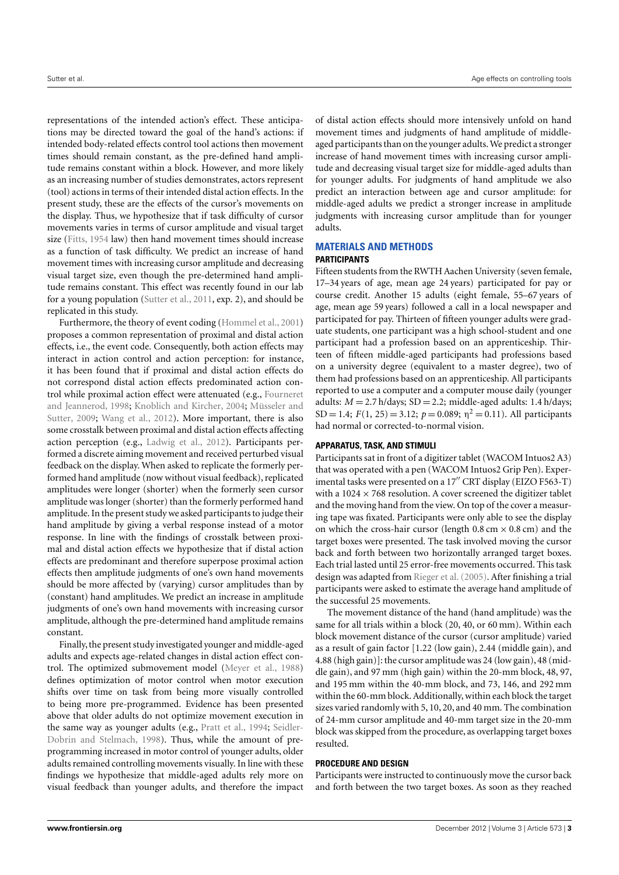representations of the intended action's effect. These anticipations may be directed toward the goal of the hand's actions: if intended body-related effects control tool actions then movement times should remain constant, as the pre-defined hand amplitude remains constant within a block. However, and more likely as an increasing number of studies demonstrates, actors represent (tool) actions in terms of their intended distal action effects. In the present study, these are the effects of the cursor's movements on the display. Thus, we hypothesize that if task difficulty of cursor movements varies in terms of cursor amplitude and visual target size [\(Fitts,](#page-6-1) [1954](#page-6-1) law) then hand movement times should increase as a function of task difficulty. We predict an increase of hand movement times with increasing cursor amplitude and decreasing visual target size, even though the pre-determined hand amplitude remains constant. This effect was recently found in our lab for a young population [\(Sutter et al.,](#page-7-11) [2011,](#page-7-11) exp. 2), and should be replicated in this study.

Furthermore, the theory of event coding [\(Hommel et al.,](#page-7-5) [2001\)](#page-7-5) proposes a common representation of proximal and distal action effects, i.e., the event code. Consequently, both action effects may interact in action control and action perception: for instance, it has been found that if proximal and distal action effects do not correspond distal action effects predominated action control while proximal action effect were attenuated (e.g., [Fourneret](#page-6-3) [and Jeannerod,](#page-6-3) [1998;](#page-6-3) [Knoblich and Kircher,](#page-7-16) [2004;](#page-7-16) [Müsseler and](#page-7-17) [Sutter,](#page-7-17) [2009;](#page-7-17) [Wang et al.,](#page-7-18) [2012\)](#page-7-18). More important, there is also some crosstalk between proximal and distal action effects affecting action perception (e.g., [Ladwig et al.,](#page-7-1) [2012\)](#page-7-1). Participants performed a discrete aiming movement and received perturbed visual feedback on the display. When asked to replicate the formerly performed hand amplitude (now without visual feedback), replicated amplitudes were longer (shorter) when the formerly seen cursor amplitude was longer (shorter) than the formerly performed hand amplitude. In the present study we asked participants to judge their hand amplitude by giving a verbal response instead of a motor response. In line with the findings of crosstalk between proximal and distal action effects we hypothesize that if distal action effects are predominant and therefore superpose proximal action effects then amplitude judgments of one's own hand movements should be more affected by (varying) cursor amplitudes than by (constant) hand amplitudes. We predict an increase in amplitude judgments of one's own hand movements with increasing cursor amplitude, although the pre-determined hand amplitude remains constant.

Finally, the present study investigated younger and middle-aged adults and expects age-related changes in distal action effect control. The optimized submovement model [\(Meyer et al.,](#page-7-20) [1988\)](#page-7-20) defines optimization of motor control when motor execution shifts over time on task from being more visually controlled to being more pre-programmed. Evidence has been presented above that older adults do not optimize movement execution in the same way as younger adults (e.g., [Pratt et al.,](#page-7-19) [1994;](#page-7-19) [Seidler-](#page-7-21)[Dobrin and Stelmach,](#page-7-21) [1998\)](#page-7-21). Thus, while the amount of preprogramming increased in motor control of younger adults, older adults remained controlling movements visually. In line with these findings we hypothesize that middle-aged adults rely more on visual feedback than younger adults, and therefore the impact

of distal action effects should more intensively unfold on hand movement times and judgments of hand amplitude of middleaged participants than on the younger adults.We predict a stronger increase of hand movement times with increasing cursor amplitude and decreasing visual target size for middle-aged adults than for younger adults. For judgments of hand amplitude we also predict an interaction between age and cursor amplitude: for middle-aged adults we predict a stronger increase in amplitude judgments with increasing cursor amplitude than for younger adults.

# **MATERIALS AND METHODS**

## **PARTICIPANTS**

Fifteen students from the RWTH Aachen University (seven female, 17–34 years of age, mean age 24 years) participated for pay or course credit. Another 15 adults (eight female, 55–67 years of age, mean age 59 years) followed a call in a local newspaper and participated for pay. Thirteen of fifteen younger adults were graduate students, one participant was a high school-student and one participant had a profession based on an apprenticeship. Thirteen of fifteen middle-aged participants had professions based on a university degree (equivalent to a master degree), two of them had professions based on an apprenticeship. All participants reported to use a computer and a computer mouse daily (younger adults:  $M = 2.7$  h/days;  $SD = 2.2$ ; middle-aged adults: 1.4 h/days; SD = 1.4;  $F(1, 25) = 3.12$ ;  $p = 0.089$ ;  $\eta^2 = 0.11$ ). All participants had normal or corrected-to-normal vision.

## **APPARATUS, TASK, AND STIMULI**

Participants sat in front of a digitizer tablet (WACOM Intuos2 A3) that was operated with a pen (WACOM Intuos2 Grip Pen). Experimental tasks were presented on a 17" CRT display (EIZO F563-T) with a  $1024 \times 768$  resolution. A cover screened the digitizer tablet and the moving hand from the view. On top of the cover a measuring tape was fixated. Participants were only able to see the display on which the cross-hair cursor (length  $0.8 \text{ cm} \times 0.8 \text{ cm}$ ) and the target boxes were presented. The task involved moving the cursor back and forth between two horizontally arranged target boxes. Each trial lasted until 25 error-free movements occurred. This task design was adapted from [Rieger et al.](#page-7-0) [\(2005\)](#page-7-0). After finishing a trial participants were asked to estimate the average hand amplitude of the successful 25 movements.

The movement distance of the hand (hand amplitude) was the same for all trials within a block (20, 40, or 60 mm). Within each block movement distance of the cursor (cursor amplitude) varied as a result of gain factor [1.22 (low gain), 2.44 (middle gain), and 4.88 (high gain)]: the cursor amplitude was 24 (low gain), 48 (middle gain), and 97 mm (high gain) within the 20-mm block, 48, 97, and 195 mm within the 40-mm block, and 73, 146, and 292 mm within the 60-mm block. Additionally, within each block the target sizes varied randomly with 5, 10, 20, and 40 mm. The combination of 24-mm cursor amplitude and 40-mm target size in the 20-mm block was skipped from the procedure, as overlapping target boxes resulted.

## **PROCEDURE AND DESIGN**

Participants were instructed to continuously move the cursor back and forth between the two target boxes. As soon as they reached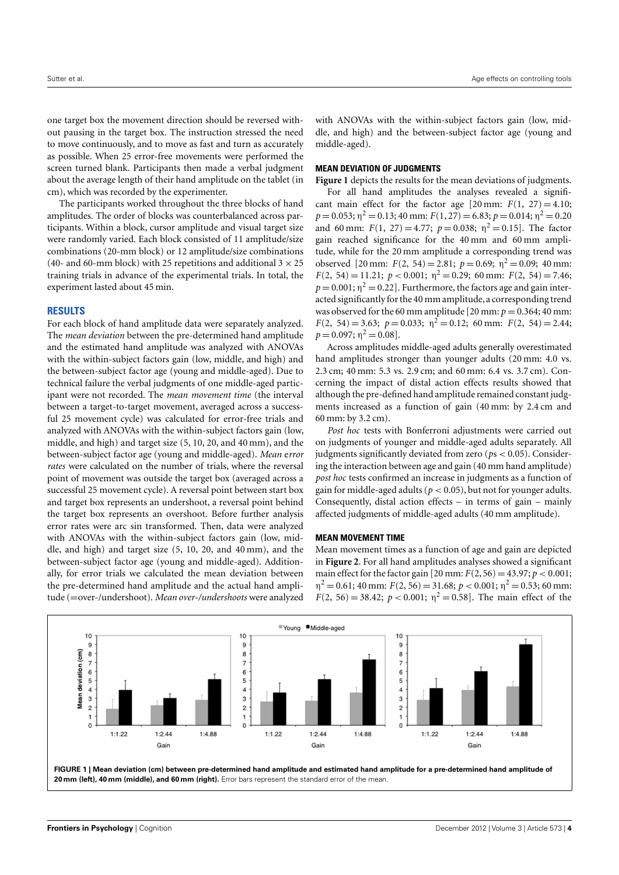one target box the movement direction should be reversed without pausing in the target box. The instruction stressed the need to move continuously, and to move as fast and turn as accurately as possible. When 25 error-free movements were performed the screen turned blank. Participants then made a verbal judgment about the average length of their hand amplitude on the tablet (in cm), which was recorded by the experimenter.

The participants worked throughout the three blocks of hand amplitudes. The order of blocks was counterbalanced across participants. Within a block, cursor amplitude and visual target size were randomly varied. Each block consisted of 11 amplitude/size combinations (20-mm block) or 12 amplitude/size combinations (40- and 60-mm block) with 25 repetitions and additional  $3 \times 25$ training trials in advance of the experimental trials. In total, the experiment lasted about 45 min.

#### **RESULTS**

For each block of hand amplitude data were separately analyzed. The *mean deviation* between the pre-determined hand amplitude and the estimated hand amplitude was analyzed with ANOVAs with the within-subject factors gain (low, middle, and high) and the between-subject factor age (young and middle-aged). Due to technical failure the verbal judgments of one middle-aged participant were not recorded. The *mean movement time* (the interval between a target-to-target movement, averaged across a successful 25 movement cycle) was calculated for error-free trials and analyzed with ANOVAs with the within-subject factors gain (low, middle, and high) and target size (5, 10, 20, and 40 mm), and the between-subject factor age (young and middle-aged). *Mean* e*rror rates* were calculated on the number of trials, where the reversal point of movement was outside the target box (averaged across a successful 25 movement cycle). A reversal point between start box and target box represents an undershoot, a reversal point behind the target box represents an overshoot. Before further analysis error rates were arc sin transformed. Then, data were analyzed with ANOVAs with the within-subject factors gain (low, middle, and high) and target size (5, 10, 20, and 40 mm), and the between-subject factor age (young and middle-aged). Additionally, for error trials we calculated the mean deviation between the pre-determined hand amplitude and the actual hand amplitude (=over-/undershoot). *Mean over-/undershoots* were analyzed with ANOVAs with the within-subject factors gain (low, middle, and high) and the between-subject factor age (young and middle-aged).

## **MEAN DEVIATION OF JUDGMENTS**

[Figure 1](#page-3-0) depicts the results for the mean deviations of judgments.

For all hand amplitudes the analyses revealed a significant main effect for the factor age  $[20 \text{ mm} : F(1, 27) = 4.10;$  $p = 0.053; \eta^2 = 0.13; 40 \text{ mm}$ :  $F(1, 27) = 6.83; p = 0.014; \eta^2 = 0.20$ and 60 mm:  $F(1, 27) = 4.77$ ;  $p = 0.038$ ;  $\eta^2 = 0.15$ ]. The factor gain reached significance for the 40 mm and 60 mm amplitude, while for the 20 mm amplitude a corresponding trend was observed [20 mm:  $F(2, 54) = 2.81$ ;  $p = 0.69$ ;  $\eta^2 = 0.09$ ; 40 mm:  $F(2, 54) = 11.21$ ;  $p < 0.001$ ;  $\eta^2 = 0.29$ ; 60 mm:  $F(2, 54) = 7.46$ ;  $p = 0.001$ ;  $\eta^2 = 0.22$ ]. Furthermore, the factors age and gain interacted significantlyfor the 40 mm amplitude, a corresponding trend was observed for the 60 mm amplitude [20 mm:  $p = 0.364$ ; 40 mm:  $F(2, 54) = 3.63; p = 0.033; \eta^2 = 0.12; 60 \text{ mm}: F(2, 54) = 2.44;$  $p = 0.097; \eta^2 = 0.08$ .

Across amplitudes middle-aged adults generally overestimated hand amplitudes stronger than younger adults (20 mm: 4.0 vs. 2.3 cm; 40 mm: 5.3 vs. 2.9 cm; and 60 mm: 6.4 vs. 3.7 cm). Concerning the impact of distal action effects results showed that although the pre-defined hand amplitude remained constant judgments increased as a function of gain (40 mm: by 2.4 cm and 60 mm: by 3.2 cm).

*Post hoc* tests with Bonferroni adjustments were carried out on judgments of younger and middle-aged adults separately. All judgments significantly deviated from zero (*p*s < 0.05). Considering the interaction between age and gain (40 mm hand amplitude) *post hoc* tests confirmed an increase in judgments as a function of gain for middle-aged adults ( $p < 0.05$ ), but not for younger adults. Consequently, distal action effects  $-$  in terms of gain  $-$  mainly affected judgments of middle-aged adults (40 mm amplitude).

### **MEAN MOVEMENT TIME**

Mean movement times as a function of age and gain are depicted in **[Figure 2](#page-4-0)**. For all hand amplitudes analyses showed a significant main effect for the factor gain  $[20 \text{ mm} : F(2, 56) = 43.97; p < 0.001;$  $\eta^2 = 0.61; 40$  mm:  $F(2, 56) = 31.68; p < 0.001; \eta^2 = 0.53; 60$  mm: *F*(2, 56) = 38.42; *p* < 0.001;  $\eta^2$  = 0.58]. The main effect of the

<span id="page-3-0"></span>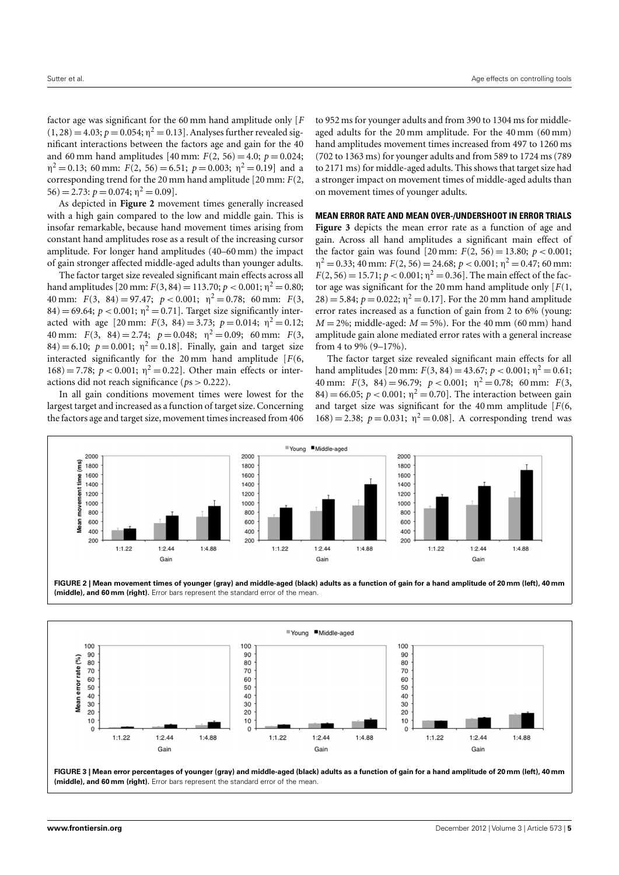factor age was significant for the 60 mm hand amplitude only [*F*  $(1, 28) = 4.03; p = 0.054; \eta^2 = 0.13$ . Analyses further revealed significant interactions between the factors age and gain for the 40 and 60 mm hand amplitudes [40 mm:  $F(2, 56) = 4.0$ ;  $p = 0.024$ ;  $\eta^2 = 0.13$ ; 60 mm:  $F(2, 56) = 6.51$ ;  $p = 0.003$ ;  $\eta^2 = 0.19$ ] and a corresponding trend for the 20 mm hand amplitude [20 mm: *F*(2,  $56$ ) = 2.73:  $p = 0.074$ ;  $\eta^2 = 0.09$ ].

As depicted in **[Figure 2](#page-4-0)** movement times generally increased with a high gain compared to the low and middle gain. This is insofar remarkable, because hand movement times arising from constant hand amplitudes rose as a result of the increasing cursor amplitude. For longer hand amplitudes (40–60 mm) the impact of gain stronger affected middle-aged adults than younger adults.

The factor target size revealed significant main effects across all hand amplitudes [20 mm:  $F(3, 84) = 113.70; p < 0.001; \eta^2 = 0.80;$ 40 mm:  $F(3, 84) = 97.47$ ;  $p < 0.001$ ;  $\eta^2 = 0.78$ ; 60 mm:  $F(3, 84) = 97.47$ ;  $p < 0.001$ ;  $\eta^2 = 0.78$ ; 60 mm:  $84$ ) = 69.64;  $p < 0.001$ ;  $\eta^2 = 0.71$ ]. Target size significantly interacted with age [20 mm:  $F(3, 84) = 3.73$ ;  $p = 0.014$ ;  $\eta^2 = 0.12$ ; 40 mm:  $F(3, 84) = 2.74$ ;  $p = 0.048$ ;  $p^2 = 0.09$ ; 60 mm:  $F(3, 84) = 2.74$ ;  $p = 0.048$ ;  $p^2 = 0.09$ ; 60 mm:  $(84) = 6.10$ ;  $p = 0.001$ ;  $\eta^2 = 0.18$ ]. Finally, gain and target size interacted significantly for the 20 mm hand amplitude [*F*(6, 168) = 7.78; *p* < 0.001;  $η<sup>2</sup>$  = 0.22]. Other main effects or interactions did not reach significance (*p*s > 0.222).

In all gain conditions movement times were lowest for the largest target and increased as a function of target size. Concerning the factors age and target size, movement times increased from 406

to 952 ms for younger adults and from 390 to 1304 ms for middleaged adults for the 20 mm amplitude. For the 40 mm (60 mm) hand amplitudes movement times increased from 497 to 1260 ms (702 to 1363 ms) for younger adults and from 589 to 1724 ms (789 to 2171 ms) for middle-aged adults. This shows that target size had a stronger impact on movement times of middle-aged adults than on movement times of younger adults.

## **MEAN ERROR RATE AND MEAN OVER-/UNDERSHOOT IN ERROR TRIALS**

**[Figure 3](#page-4-1)** depicts the mean error rate as a function of age and gain. Across all hand amplitudes a significant main effect of the factor gain was found  $[20 \text{ mm}$ :  $F(2, 56) = 13.80$ ;  $p < 0.001$ ;  $\eta^2 = 0.33; 40$  mm:  $F(2, 56) = 24.68; p < 0.001; \eta^2 = 0.47; 60$  mm:  $F(2, 56) = 15.71$ ;  $p < 0.001$ ;  $\eta^2 = 0.36$ . The main effect of the factor age was significant for the 20 mm hand amplitude only [*F*(1,  $28$ ) = 5.84;  $p = 0.022$ ;  $\eta^2 = 0.17$ ]. For the 20 mm hand amplitude error rates increased as a function of gain from 2 to 6% (young:  $M = 2\%$ ; middle-aged:  $M = 5\%$ ). For the 40 mm (60 mm) hand amplitude gain alone mediated error rates with a general increase from 4 to 9% (9–17%).

The factor target size revealed significant main effects for all hand amplitudes [20 mm:  $F(3, 84) = 43.67; p < 0.001; \eta^2 = 0.61;$ 40 mm:  $F(3, 84) = 96.79; p < 0.001; \eta^2 = 0.78; 60 \text{ mm: } F(3, 61)$  $84$ ) = 66.05;  $p < 0.001$ ;  $\eta^2 = 0.70$ ]. The interaction between gain and target size was significant for the 40 mm amplitude [*F*(6, 168) = 2.38;  $p = 0.031$ ;  $\eta^2 = 0.08$ ]. A corresponding trend was



<span id="page-4-0"></span>**FIGURE 2 | Mean movement times of younger (gray) and middle-aged (black) adults as a function of gain for a hand amplitude of 20 mm (left), 40 mm (middle), and 60 mm (right).** Error bars represent the standard error of the mean.

<span id="page-4-1"></span>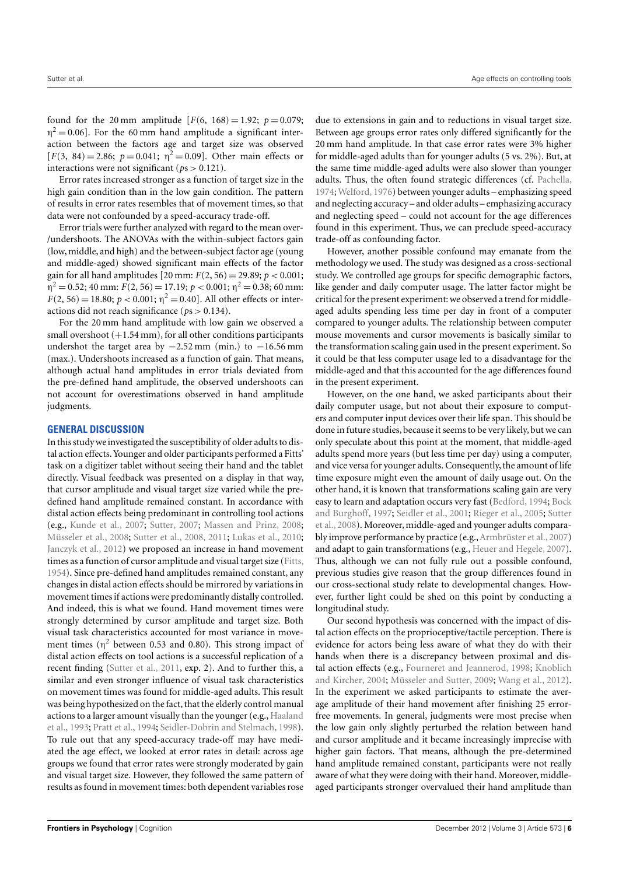found for the 20 mm amplitude  $[F(6, 168) = 1.92; p = 0.079;$  $\eta^2 = 0.06$ ]. For the 60 mm hand amplitude a significant interaction between the factors age and target size was observed [ $F(3, 84) = 2.86$ ;  $p = 0.041$ ;  $\eta^2 = 0.09$ ]. Other main effects or interactions were not significant (*p*s > 0.121).

Error rates increased stronger as a function of target size in the high gain condition than in the low gain condition. The pattern of results in error rates resembles that of movement times, so that data were not confounded by a speed-accuracy trade-off.

Error trials were further analyzed with regard to the mean over- /undershoots. The ANOVAs with the within-subject factors gain (low, middle, and high) and the between-subject factor age (young and middle-aged) showed significant main effects of the factor gain for all hand amplitudes  $[20 \text{ mm}: F(2, 56) = 29.89; p < 0.001;$  $\eta^2 = 0.52$ ; 40 mm:  $F(2, 56) = 17.19$ ;  $p < 0.001$ ;  $\eta^2 = 0.38$ ; 60 mm:  $F(2, 56) = 18.80; p < 0.001; \eta^2 = 0.40$ . All other effects or interactions did not reach significance (*p*s > 0.134).

For the 20 mm hand amplitude with low gain we observed a small overshoot  $(+1.54 \text{ mm})$ , for all other conditions participants undershot the target area by  $-2.52$  mm (min.) to  $-16.56$  mm (max.). Undershoots increased as a function of gain. That means, although actual hand amplitudes in error trials deviated from the pre-defined hand amplitude, the observed undershoots can not account for overestimations observed in hand amplitude judgments.

## **GENERAL DISCUSSION**

In this study we investigated the susceptibility of older adults to distal action effects. Younger and older participants performed a Fitts' task on a digitizer tablet without seeing their hand and the tablet directly. Visual feedback was presented on a display in that way, that cursor amplitude and visual target size varied while the predefined hand amplitude remained constant. In accordance with distal action effects being predominant in controlling tool actions (e.g., [Kunde et al.,](#page-7-6) [2007;](#page-7-6) [Sutter,](#page-7-7) [2007;](#page-7-7) [Massen and Prinz,](#page-7-8) [2008;](#page-7-8) [Müsseler et al.,](#page-7-9) [2008;](#page-7-9) [Sutter et al.,](#page-7-10) [2008,](#page-7-10) [2011;](#page-7-11) [Lukas et al.,](#page-7-12) [2010;](#page-7-12) [Janczyk et al.,](#page-7-13) [2012\)](#page-7-13) we proposed an increase in hand movement times as a function of cursor amplitude and visual target size [\(Fitts,](#page-6-1) [1954\)](#page-6-1). Since pre-defined hand amplitudes remained constant, any changes in distal action effects should be mirrored by variations in movement times if actions were predominantly distally controlled. And indeed, this is what we found. Hand movement times were strongly determined by cursor amplitude and target size. Both visual task characteristics accounted for most variance in movement times ( $\eta^2$  between 0.53 and 0.80). This strong impact of distal action effects on tool actions is a successful replication of a recent finding [\(Sutter et al.,](#page-7-11) [2011,](#page-7-11) exp. 2). And to further this, a similar and even stronger influence of visual task characteristics on movement times was found for middle-aged adults. This result was being hypothesized on the fact, that the elderly control manual actions to a larger amount visually than the younger (e.g., [Haaland](#page-6-6) [et al.,](#page-6-6) [1993;](#page-6-6) [Pratt et al.,](#page-7-19) [1994;](#page-7-19) [Seidler-Dobrin and Stelmach,](#page-7-21) [1998\)](#page-7-21). To rule out that any speed-accuracy trade-off may have mediated the age effect, we looked at error rates in detail: across age groups we found that error rates were strongly moderated by gain and visual target size. However, they followed the same pattern of results as found in movement times: both dependent variables rose

due to extensions in gain and to reductions in visual target size. Between age groups error rates only differed significantly for the 20 mm hand amplitude. In that case error rates were 3% higher for middle-aged adults than for younger adults (5 vs. 2%). But, at the same time middle-aged adults were also slower than younger adults. Thus, the often found strategic differences (cf. [Pachella,](#page-7-23) [1974;](#page-7-23)[Welford,](#page-7-24) [1976\)](#page-7-24) between younger adults – emphasizing speed and neglecting accuracy – and older adults – emphasizing accuracy and neglecting speed – could not account for the age differences found in this experiment. Thus, we can preclude speed-accuracy trade-off as confounding factor.

However, another possible confound may emanate from the methodology we used. The study was designed as a cross-sectional study. We controlled age groups for specific demographic factors, like gender and daily computer usage. The latter factor might be critical for the present experiment: we observed a trend for middleaged adults spending less time per day in front of a computer compared to younger adults. The relationship between computer mouse movements and cursor movements is basically similar to the transformation scaling gain used in the present experiment. So it could be that less computer usage led to a disadvantage for the middle-aged and that this accounted for the age differences found in the present experiment.

However, on the one hand, we asked participants about their daily computer usage, but not about their exposure to computers and computer input devices over their life span. This should be done in future studies, because it seems to be very likely, but we can only speculate about this point at the moment, that middle-aged adults spend more years (but less time per day) using a computer, and vice versa for younger adults. Consequently, the amount of life time exposure might even the amount of daily usage out. On the other hand, it is known that transformations scaling gain are very easy to learn and adaptation occurs very fast [\(Bedford,](#page-6-7) [1994;](#page-6-7) [Bock](#page-6-8) [and Burghoff,](#page-6-8) [1997;](#page-6-8) [Seidler et al.,](#page-7-25) [2001;](#page-7-25) [Rieger et al.,](#page-7-0) [2005;](#page-7-0) [Sutter](#page-7-10) [et al.,](#page-7-10) [2008\)](#page-7-10). Moreover, middle-aged and younger adults compara-bly improve performance by practice (e.g., [Armbrüster et al.,](#page-6-9) [2007\)](#page-6-9) and adapt to gain transformations (e.g., [Heuer and Hegele,](#page-6-10) [2007\)](#page-6-10). Thus, although we can not fully rule out a possible confound, previous studies give reason that the group differences found in our cross-sectional study relate to developmental changes. However, further light could be shed on this point by conducting a longitudinal study.

Our second hypothesis was concerned with the impact of distal action effects on the proprioceptive/tactile perception. There is evidence for actors being less aware of what they do with their hands when there is a discrepancy between proximal and distal action effects (e.g., [Fourneret and Jeannerod,](#page-6-3) [1998;](#page-6-3) [Knoblich](#page-7-16) [and Kircher,](#page-7-16) [2004;](#page-7-16) [Müsseler and Sutter,](#page-7-17) [2009;](#page-7-17) [Wang et al.,](#page-7-18) [2012\)](#page-7-18). In the experiment we asked participants to estimate the average amplitude of their hand movement after finishing 25 errorfree movements. In general, judgments were most precise when the low gain only slightly perturbed the relation between hand and cursor amplitude and it became increasingly imprecise with higher gain factors. That means, although the pre-determined hand amplitude remained constant, participants were not really aware of what they were doing with their hand. Moreover, middleaged participants stronger overvalued their hand amplitude than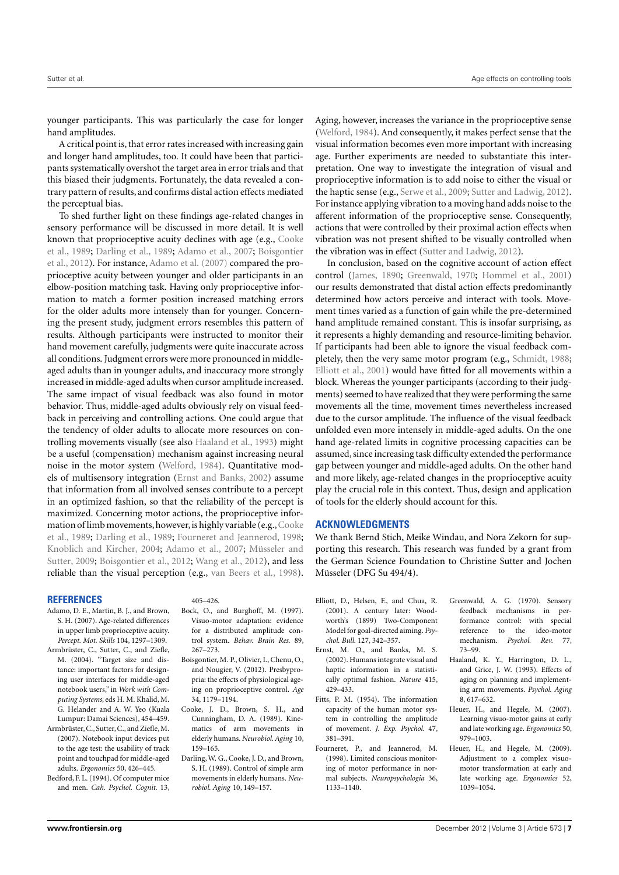younger participants. This was particularly the case for longer hand amplitudes.

A critical point is, that error rates increased with increasing gain and longer hand amplitudes, too. It could have been that participants systematically overshot the target area in error trials and that this biased their judgments. Fortunately, the data revealed a contrary pattern of results, and confirms distal action effects mediated the perceptual bias.

To shed further light on these findings age-related changes in sensory performance will be discussed in more detail. It is well known that proprioceptive acuity declines with age (e.g., [Cooke](#page-6-11) [et al.,](#page-6-11) [1989;](#page-6-11) [Darling et al.,](#page-6-12) [1989;](#page-6-12) [Adamo et al.,](#page-6-13) [2007;](#page-6-13) [Boisgontier](#page-6-14) [et al.,](#page-6-14) [2012\)](#page-6-14). For instance, [Adamo et al.](#page-6-13) [\(2007\)](#page-6-13) compared the proprioceptive acuity between younger and older participants in an elbow-position matching task. Having only proprioceptive information to match a former position increased matching errors for the older adults more intensely than for younger. Concerning the present study, judgment errors resembles this pattern of results. Although participants were instructed to monitor their hand movement carefully, judgments were quite inaccurate across all conditions. Judgment errors were more pronounced in middleaged adults than in younger adults, and inaccuracy more strongly increased in middle-aged adults when cursor amplitude increased. The same impact of visual feedback was also found in motor behavior. Thus, middle-aged adults obviously rely on visual feedback in perceiving and controlling actions. One could argue that the tendency of older adults to allocate more resources on controlling movements visually (see also [Haaland et al.,](#page-6-6) [1993\)](#page-6-6) might be a useful (compensation) mechanism against increasing neural noise in the motor system [\(Welford,](#page-7-26) [1984\)](#page-7-26). Quantitative models of multisensory integration [\(Ernst and Banks,](#page-6-15) [2002\)](#page-6-15) assume that information from all involved senses contribute to a percept in an optimized fashion, so that the reliability of the percept is maximized. Concerning motor actions, the proprioceptive information of limb movements, however, is highly variable (e.g., Cooke [et al.,](#page-6-11) [1989;](#page-6-11) [Darling et al.,](#page-6-12) [1989;](#page-6-12) [Fourneret and Jeannerod,](#page-6-3) [1998;](#page-6-3) [Knoblich and Kircher,](#page-7-16) [2004;](#page-7-16) [Adamo et al.,](#page-6-13) [2007;](#page-6-13) [Müsseler and](#page-7-17) [Sutter,](#page-7-17) [2009;](#page-7-17) [Boisgontier et al.,](#page-6-14) [2012;](#page-6-14) [Wang et al.,](#page-7-18) [2012\)](#page-7-18), and less reliable than the visual perception (e.g., [van Beers et al.,](#page-7-27) [1998\)](#page-7-27).

#### **REFERENCES**

- <span id="page-6-13"></span>Adamo, D. E., Martin, B. J., and Brown, S. H. (2007). Age-related differences in upper limb proprioceptive acuity. *Percept. Mot. Skills* 104, 1297–1309.
- <span id="page-6-5"></span>Armbrüster, C., Sutter, C., and Ziefle, M. (2004). "Target size and distance: important factors for designing user interfaces for middle-aged notebook users," in *Work with Computing Systems*, eds H. M. Khalid, M. G. Helander and A. W. Yeo (Kuala Lumpur: Damai Sciences), 454–459.
- <span id="page-6-9"></span>Armbrüster, C., Sutter, C., and Ziefle,M. (2007). Notebook input devices put to the age test: the usability of track point and touchpad for middle-aged adults. *Ergonomics* 50, 426–445.
- <span id="page-6-7"></span>Bedford, F. L. (1994). Of computer mice and men. *Cah. Psychol. Cognit.* 13,

#### 405–426.

- <span id="page-6-8"></span>Bock, O., and Burghoff, M. (1997). Visuo-motor adaptation: evidence for a distributed amplitude control system. *Behav. Brain Res.* 89, 267–273.
- <span id="page-6-14"></span>Boisgontier, M. P., Olivier, I., Chenu, O., and Nougier, V. (2012). Presbypropria: the effects of physiological ageing on proprioceptive control. *Age* 34, 1179–1194.
- <span id="page-6-11"></span>Cooke, J. D., Brown, S. H., and Cunningham, D. A. (1989). Kinematics of arm movements in elderly humans. *Neurobiol. Aging* 10, 159–165.
- <span id="page-6-12"></span>Darling,W. G., Cooke, J. D., and Brown, S. H. (1989). Control of simple arm movements in elderly humans. *Neurobiol. Aging* 10, 149–157.

Aging, however, increases the variance in the proprioceptive sense [\(Welford,](#page-7-26) [1984\)](#page-7-26). And consequently, it makes perfect sense that the visual information becomes even more important with increasing age. Further experiments are needed to substantiate this interpretation. One way to investigate the integration of visual and proprioceptive information is to add noise to either the visual or the haptic sense (e.g., [Serwe et al.,](#page-7-28) [2009;](#page-7-28) [Sutter and Ladwig,](#page-7-29) [2012\)](#page-7-29). For instance applying vibration to a moving hand adds noise to the afferent information of the proprioceptive sense. Consequently, actions that were controlled by their proximal action effects when vibration was not present shifted to be visually controlled when the vibration was in effect [\(Sutter and Ladwig,](#page-7-29) [2012\)](#page-7-29).

In conclusion, based on the cognitive account of action effect control [\(James,](#page-7-14) [1890;](#page-7-14) [Greenwald,](#page-6-2) [1970;](#page-6-2) [Hommel et al.,](#page-7-5) [2001\)](#page-7-5) our results demonstrated that distal action effects predominantly determined how actors perceive and interact with tools. Movement times varied as a function of gain while the pre-determined hand amplitude remained constant. This is insofar surprising, as it represents a highly demanding and resource-limiting behavior. If participants had been able to ignore the visual feedback completely, then the very same motor program (e.g., [Schmidt,](#page-7-30) [1988;](#page-7-30) [Elliott et al.,](#page-6-4) [2001\)](#page-6-4) would have fitted for all movements within a block. Whereas the younger participants (according to their judgments) seemed to have realized that they were performing the same movements all the time, movement times nevertheless increased due to the cursor amplitude. The influence of the visual feedback unfolded even more intensely in middle-aged adults. On the one hand age-related limits in cognitive processing capacities can be assumed, since increasing task difficulty extended the performance gap between younger and middle-aged adults. On the other hand and more likely, age-related changes in the proprioceptive acuity play the crucial role in this context. Thus, design and application of tools for the elderly should account for this.

#### **ACKNOWLEDGMENTS**

We thank Bernd Stich, Meike Windau, and Nora Zekorn for supporting this research. This research was funded by a grant from the German Science Foundation to Christine Sutter and Jochen Müsseler (DFG Su 494/4).

- <span id="page-6-4"></span>Elliott, D., Helsen, F., and Chua, R. (2001). A century later: Woodworth's (1899) Two-Component Model for goal-directed aiming. *Psychol. Bull.* 127, 342–357.
- <span id="page-6-15"></span>Ernst, M. O., and Banks, M. S. (2002). Humans integrate visual and haptic information in a statistically optimal fashion. *Nature* 415, 429–433.
- <span id="page-6-1"></span>Fitts, P. M. (1954). The information capacity of the human motor system in controlling the amplitude of movement. *J. Exp. Psychol.* 47, 381–391.
- <span id="page-6-3"></span>Fourneret, P., and Jeannerod, M. (1998). Limited conscious monitoring of motor performance in normal subjects. *Neuropsychologia* 36, 1133–1140.
- <span id="page-6-2"></span>Greenwald, A. G. (1970). Sensory feedback mechanisms in performance control: with special reference to the ideo-motor mechanism. *Psychol. Rev.* 77, 73–99.
- <span id="page-6-6"></span>Haaland, K. Y., Harrington, D. L., and Grice, J. W. (1993). Effects of aging on planning and implementing arm movements. *Psychol. Aging* 8, 617–632.
- <span id="page-6-10"></span>Heuer, H., and Hegele, M. (2007). Learning visuo-motor gains at early and late working age. *Ergonomics* 50, 979–1003.
- <span id="page-6-0"></span>Heuer, H., and Hegele, M. (2009). Adjustment to a complex visuomotor transformation at early and late working age. *Ergonomics* 52, 1039–1054.